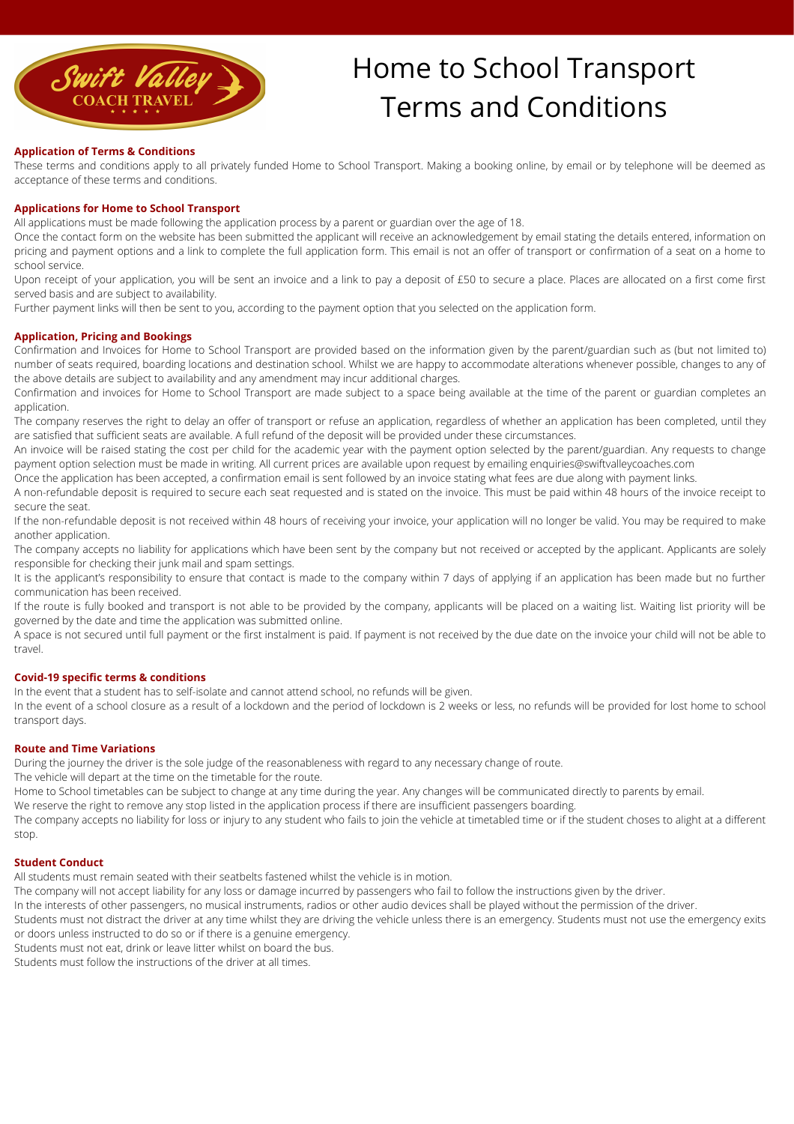

# Home to School Transport Terms and Conditions

## **Application of Terms & Conditions**

These terms and conditions apply to all privately funded Home to School Transport. Making a booking online, by email or by telephone will be deemed as acceptance of these terms and conditions.

#### **Applications for Home to School Transport**

All applications must be made following the application process by a parent or guardian over the age of 18.

Once the contact form on the website has been submitted the applicant will receive an acknowledgement by email stating the details entered, information on pricing and payment options and a link to complete the full application form. This email is not an offer of transport or confirmation of a seat on a home to school service.

Upon receipt of your application, you will be sent an invoice and a link to pay a deposit of £50 to secure a place. Places are allocated on a first come first served basis and are subject to availability.

Further payment links will then be sent to you, according to the payment option that you selected on the application form.

## **Application, Pricing and Bookings**

Confirmation and Invoices for Home to School Transport are provided based on the information given by the parent/guardian such as (but not limited to) number of seats required, boarding locations and destination school. Whilst we are happy to accommodate alterations whenever possible, changes to any of the above details are subject to availability and any amendment may incur additional charges.

Confirmation and invoices for Home to School Transport are made subject to a space being available at the time of the parent or guardian completes an application.

The company reserves the right to delay an offer of transport or refuse an application, regardless of whether an application has been completed, until they are satisfied that sufficient seats are available. A full refund of the deposit will be provided under these circumstances.

An invoice will be raised stating the cost per child for the academic year with the payment option selected by the parent/guardian. Any requests to change payment option selection must be made in writing. All current prices are available upon request by emailing enquiries@swiftvalleycoaches.com

Once the application has been accepted, a confirmation email is sent followed by an invoice stating what fees are due along with payment links.

A non-refundable deposit is required to secure each seat requested and is stated on the invoice. This must be paid within 48 hours of the invoice receipt to secure the seat.

If the non-refundable deposit is not received within 48 hours of receiving your invoice, your application will no longer be valid. You may be required to make another application.

The company accepts no liability for applications which have been sent by the company but not received or accepted by the applicant. Applicants are solely responsible for checking their junk mail and spam settings.

It is the applicant's responsibility to ensure that contact is made to the company within 7 days of applying if an application has been made but no further communication has been received.

If the route is fully booked and transport is not able to be provided by the company, applicants will be placed on a waiting list. Waiting list priority will be governed by the date and time the application was submitted online.

A space is not secured until full payment or the first instalment is paid. If payment is not received by the due date on the invoice your child will not be able to travel.

#### **Covid-19 specific terms & conditions**

In the event that a student has to self-isolate and cannot attend school, no refunds will be given.

In the event of a school closure as a result of a lockdown and the period of lockdown is 2 weeks or less, no refunds will be provided for lost home to school transport days.

#### **Route and Time Variations**

During the journey the driver is the sole judge of the reasonableness with regard to any necessary change of route.

The vehicle will depart at the time on the timetable for the route.

Home to School timetables can be subject to change at any time during the year. Any changes will be communicated directly to parents by email.

We reserve the right to remove any stop listed in the application process if there are insufficient passengers boarding.

The company accepts no liability for loss or injury to any student who fails to join the vehicle at timetabled time or if the student choses to alight at a different stop.

#### **Student Conduct**

All students must remain seated with their seatbelts fastened whilst the vehicle is in motion.

The company will not accept liability for any loss or damage incurred by passengers who fail to follow the instructions given by the driver.

In the interests of other passengers, no musical instruments, radios or other audio devices shall be played without the permission of the driver.

Students must not distract the driver at any time whilst they are driving the vehicle unless there is an emergency. Students must not use the emergency exits or doors unless instructed to do so or if there is a genuine emergency.

Students must not eat, drink or leave litter whilst on board the bus.

Students must follow the instructions of the driver at all times.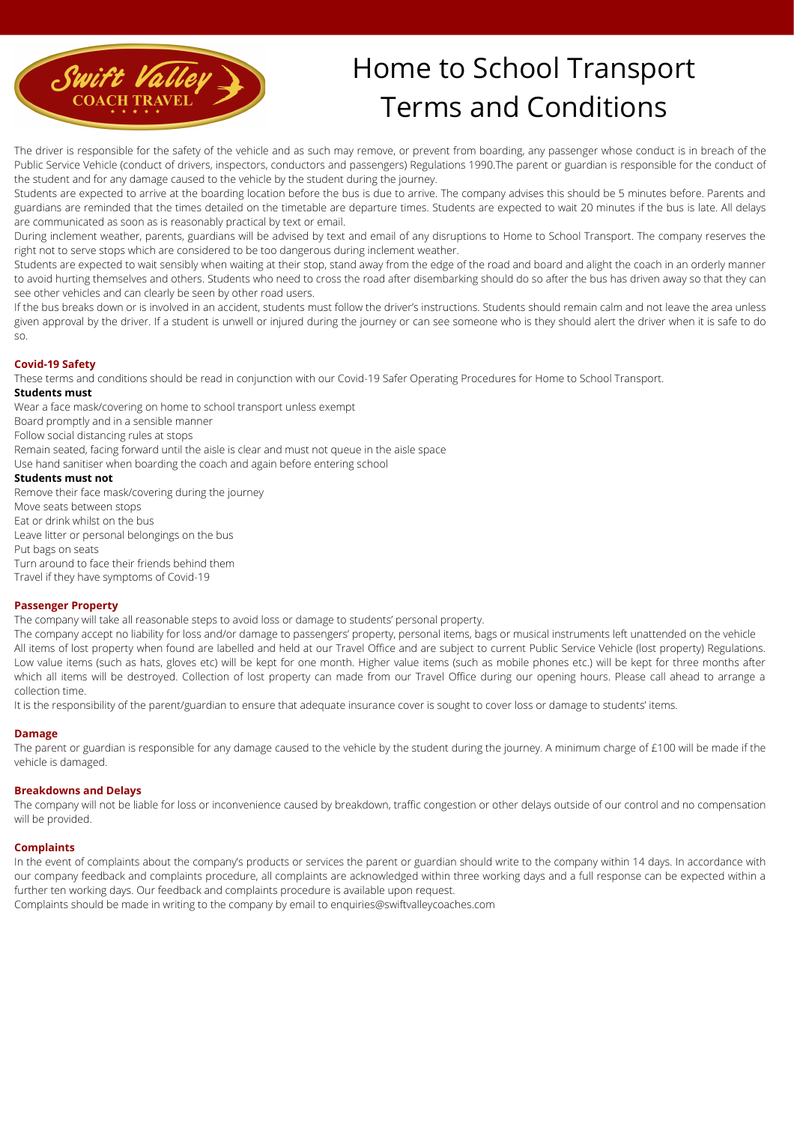

# Home to School Transport Terms and Conditions

The driver is responsible for the safety of the vehicle and as such may remove, or prevent from boarding, any passenger whose conduct is in breach of the Public Service Vehicle (conduct of drivers, inspectors, conductors and passengers) Regulations 1990.The parent or guardian is responsible for the conduct of the student and for any damage caused to the vehicle by the student during the journey.

Students are expected to arrive at the boarding location before the bus is due to arrive. The company advises this should be 5 minutes before. Parents and guardians are reminded that the times detailed on the timetable are departure times. Students are expected to wait 20 minutes if the bus is late. All delays are communicated as soon as is reasonably practical by text or email.

During inclement weather, parents, guardians will be advised by text and email of any disruptions to Home to School Transport. The company reserves the right not to serve stops which are considered to be too dangerous during inclement weather.

Students are expected to wait sensibly when waiting at their stop, stand away from the edge of the road and board and alight the coach in an orderly manner to avoid hurting themselves and others. Students who need to cross the road after disembarking should do so after the bus has driven away so that they can see other vehicles and can clearly be seen by other road users.

If the bus breaks down or is involved in an accident, students must follow the driver's instructions. Students should remain calm and not leave the area unless given approval by the driver. If a student is unwell or injured during the journey or can see someone who is they should alert the driver when it is safe to do so.

## **Covid-19 Safety**

These terms and conditions should be read in conjunction with our Covid-19 Safer Operating Procedures for Home to School Transport.

## **Students must**

Wear a face mask/covering on home to school transport unless exempt

Board promptly and in a sensible manner

Follow social distancing rules at stops

Remain seated, facing forward until the aisle is clear and must not queue in the aisle space

Use hand sanitiser when boarding the coach and again before entering school

## **Students must not**

Remove their face mask/covering during the journey Move seats between stops Eat or drink whilst on the bus Leave litter or personal belongings on the bus Put bags on seats Turn around to face their friends behind them Travel if they have symptoms of Covid-19

## **Passenger Property**

The company will take all reasonable steps to avoid loss or damage to students' personal property.

The company accept no liability for loss and/or damage to passengers' property, personal items, bags or musical instruments left unattended on the vehicle All items of lost property when found are labelled and held at our Travel Office and are subject to current Public Service Vehicle (lost property) Regulations. Low value items (such as hats, gloves etc) will be kept for one month. Higher value items (such as mobile phones etc.) will be kept for three months after which all items will be destroyed. Collection of lost property can made from our Travel Office during our opening hours. Please call ahead to arrange a collection time.

It is the responsibility of the parent/guardian to ensure that adequate insurance cover is sought to cover loss or damage to students' items.

## **Damage**

The parent or guardian is responsible for any damage caused to the vehicle by the student during the journey. A minimum charge of £100 will be made if the vehicle is damaged.

## **Breakdowns and Delays**

The company will not be liable for loss or inconvenience caused by breakdown, traffic congestion or other delays outside of our control and no compensation will be provided.

## **Complaints**

In the event of complaints about the company's products or services the parent or guardian should write to the company within 14 days. In accordance with our company feedback and complaints procedure, all complaints are acknowledged within three working days and a full response can be expected within a further ten working days. Our feedback and complaints procedure is available upon request.

Complaints should be made in writing to the company by email to [enquiries@swiftvalleycoaches.com](mailto:enquiries@swiftvalleycoaches.com)